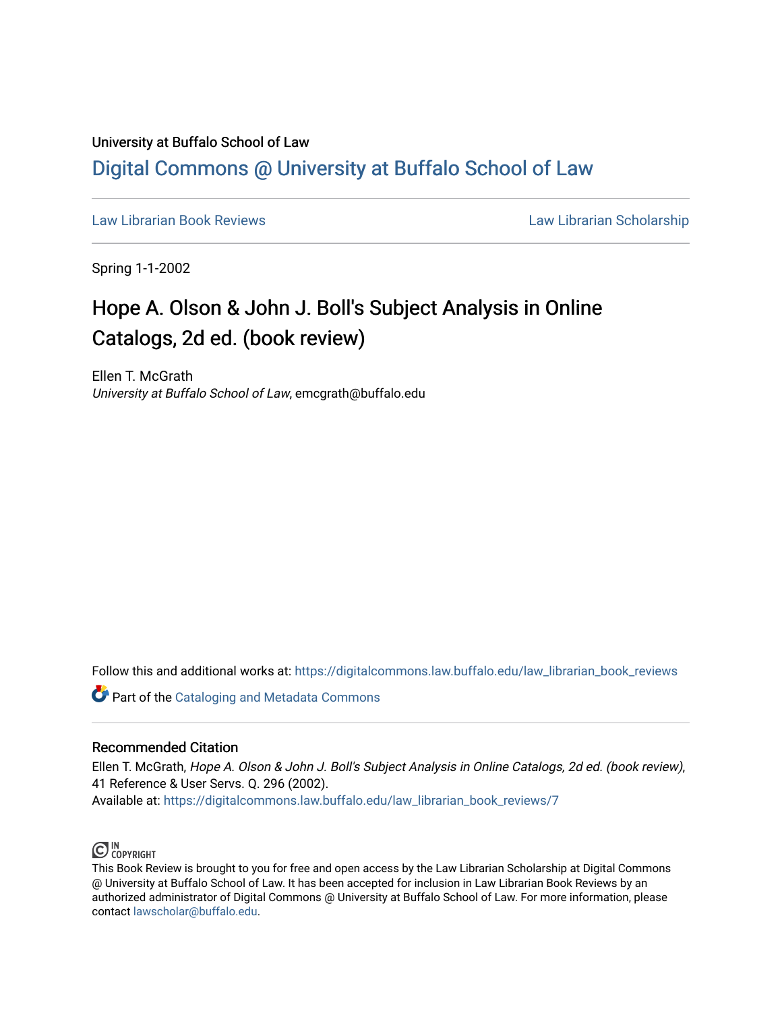## University at Buffalo School of Law [Digital Commons @ University at Buffalo School of Law](https://digitalcommons.law.buffalo.edu/)

[Law Librarian Book Reviews](https://digitalcommons.law.buffalo.edu/law_librarian_book_reviews) Law Librarian Scholarship

Spring 1-1-2002

## Hope A. Olson & John J. Boll's Subject Analysis in Online Catalogs, 2d ed. (book review)

Ellen T. McGrath University at Buffalo School of Law, emcgrath@buffalo.edu

Follow this and additional works at: [https://digitalcommons.law.buffalo.edu/law\\_librarian\\_book\\_reviews](https://digitalcommons.law.buffalo.edu/law_librarian_book_reviews?utm_source=digitalcommons.law.buffalo.edu%2Flaw_librarian_book_reviews%2F7&utm_medium=PDF&utm_campaign=PDFCoverPages) 

**Part of the Cataloging and Metadata Commons** 

## Recommended Citation

Ellen T. McGrath, Hope A. Olson & John J. Boll's Subject Analysis in Online Catalogs, 2d ed. (book review), 41 Reference & User Servs. Q. 296 (2002). Available at: [https://digitalcommons.law.buffalo.edu/law\\_librarian\\_book\\_reviews/7](https://digitalcommons.law.buffalo.edu/law_librarian_book_reviews/7?utm_source=digitalcommons.law.buffalo.edu%2Flaw_librarian_book_reviews%2F7&utm_medium=PDF&utm_campaign=PDFCoverPages) 



This Book Review is brought to you for free and open access by the Law Librarian Scholarship at Digital Commons @ University at Buffalo School of Law. It has been accepted for inclusion in Law Librarian Book Reviews by an authorized administrator of Digital Commons @ University at Buffalo School of Law. For more information, please contact [lawscholar@buffalo.edu.](mailto:lawscholar@buffalo.edu)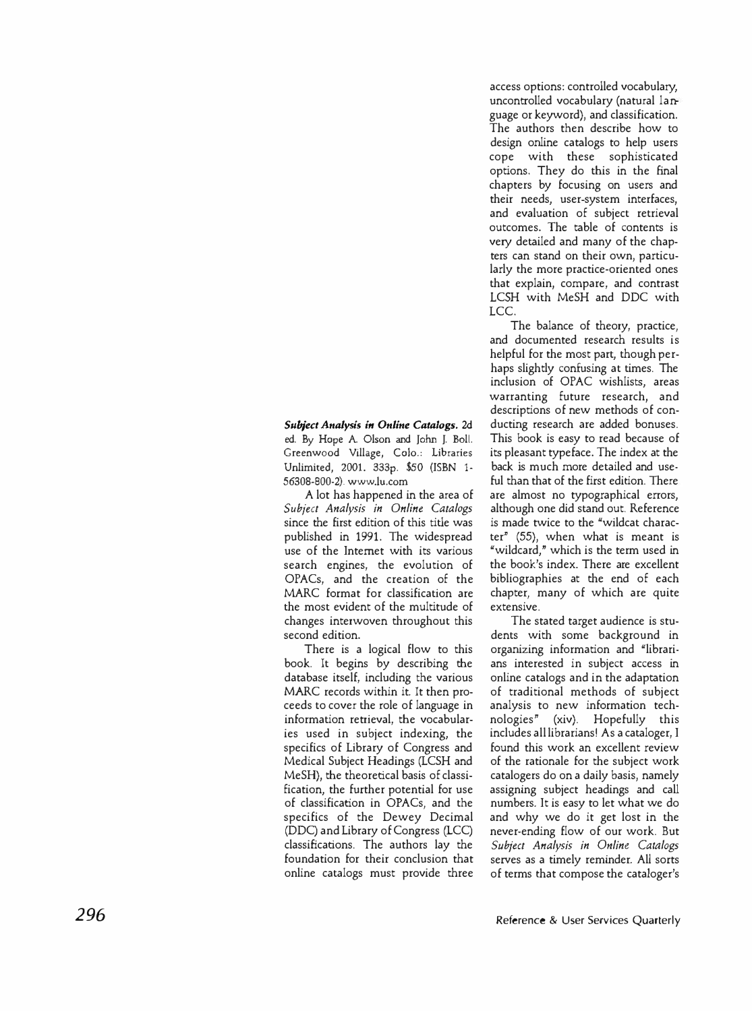access options: controlled vocabulary, uncontrolled vocabulary (natural language or keyword), and classification. The authors then describe how to design online catalogs to help users cope with these sophisticated options. They do this in the final chapters by focusing on users and their needs, user-system interfaces, and evaluation of subject retrieval outcomes. The table of contents is very detailed and many of the chapters can stand on their own, particularly the more practice-oriented ones that explain, compare, and contrast LCSH with MeSH and DDC with LCC.

The balance of theory, practice, and documented research results is helpful for the most part, though perhaps slightly confusing at times. The inclusion of OPAC wishlists, areas warranting future research, and descriptions of new methods of conducting research are added bonuses. This book is easy to read because of its pleasant typeface. The index at the back is much more detailed and useful than that of the first edition. There are almost no typographical errors, although one did stand out. Reference is made twice to the "wildcat character" (55), when what is meant is "wildcard," which is the term used in the book's index. There are excellent bibliographies at the end of each chapter, many of which are quite extensive.

The stated target audience is students with some background in organizing information and "librarians interested in subject access in online catalogs and in the adaptation of traditional methods of subject analysis to new information technologies" (xiv). Hopefully this includes all librarians! As a cataloger, I found this work an excellent review of the rationale for the subject work catalogers do on a daily basis, namely assigning subject headings and call numbers. It is easy to let what we do and why we do it get lost in the never-ending flow of our work. But *Subject Analysis in Online Catalogs*  serves as a timely reminder. All sorts of terms that compose the cataloger's

*Subject Analysis in Online Catalogs.* 2d ed. By Hope A. Olson and John J. Boll. Greenwood Village, Colo.: Libraries Unlimited, 2001. 333p. \$50 (ISBN 1- 56308-800-2).<www.lu.com>

A lot has happened in the area of *Subject Analysis in Online Catalogs*  since the first edition of this title was published in 1991. The widespread use of the Internet with its various search engines, the evolution of OPACs, and the creation of the MARC format for classification are the most evident of the multitude of changes interwoven throughout this second edition.

There is a logical flow to this book. It begins by describing the database itself, including the various MARC records within it. It then proceeds to cover the role of language in information retrieval, the vocabularies used in subject indexing, the specifics of Library of Congress and Medical Subject Headings (LCSH and MeSH), the theoretical basis of classification, the further potential for use of classification in OPACs, and the specifics of the Dewey Decimal (DDC) and Library of Congress (LCC) classifications. The authors lay the foundation for their conclusion that online catalogs must provide three

**296 Reference & User Services Quarterly**